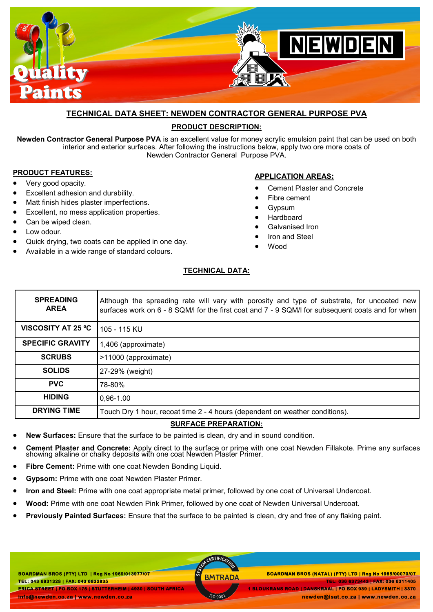

# **TECHNICAL DATA SHEET: NEWDEN CONTRACTOR GENERAL PURPOSE PVA**

## **PRODUCT DESCRIPTION:**

**Newden Contractor General Purpose PVA** is an excellent value for money acrylic emulsion paint that can be used on both interior and exterior surfaces. After following the instructions below, apply two ore more coats of Newden Contractor General Purpose PVA.

## **PRODUCT FEATURES:**

- Very good opacity.
- Excellent adhesion and durability.
- Matt finish hides plaster imperfections.
- Excellent, no mess application properties.
- Can be wiped clean.
- Low odour.
- Quick drying, two coats can be applied in one day.
- Available in a wide range of standard colours.

## **APPLICATION AREAS:**

- Cement Plaster and Concrete
- Fibre cement
- Gypsum
- Hardboard
- Galvanised Iron
- Iron and Steel
- Wood

#### **TECHNICAL DATA:**

| <b>SPREADING</b><br><b>AREA</b> | Although the spreading rate will vary with porosity and type of substrate, for uncoated new<br>surfaces work on 6 - 8 SQM/I for the first coat and 7 - 9 SQM/I for subsequent coats and for when |
|---------------------------------|--------------------------------------------------------------------------------------------------------------------------------------------------------------------------------------------------|
| <b>VISCOSITY AT 25 °C</b>       | 105 - 115 KU                                                                                                                                                                                     |
| <b>SPECIFIC GRAVITY</b>         | 1,406 (approximate)                                                                                                                                                                              |
| <b>SCRUBS</b>                   | >11000 (approximate)                                                                                                                                                                             |
| <b>SOLIDS</b>                   | 27-29% (weight)                                                                                                                                                                                  |
| <b>PVC</b>                      | 78-80%                                                                                                                                                                                           |
| <b>HIDING</b>                   | $0.96 - 1.00$                                                                                                                                                                                    |
| <b>DRYING TIME</b>              | Touch Dry 1 hour, recoat time 2 - 4 hours (dependent on weather conditions).                                                                                                                     |

#### **SURFACE PREPARATION:**

- **New Surfaces:** Ensure that the surface to be painted is clean, dry and in sound condition.
- **Cement Plaster and Concrete:** Apply direct to the surface or prime with one coat Newden Fillakote. Prime any surfaces showing alkaline or chalky deposits with one coat Newden Plaster Primer.
- **Fibre Cement: Prime with one coat Newden Bonding Liquid.**
- **Gypsom:** Prime with one coat Newden Plaster Primer.
- **Iron and Steel:** Prime with one coat appropriate metal primer, followed by one coat of Universal Undercoat.
- **Wood:** Prime with one coat Newden Pink Primer, followed by one coat of Newden Universal Undercoat.
- **Previously Painted Surfaces:** Ensure that the surface to be painted is clean, dry and free of any flaking paint.

**BOARDMAN BROS (PTY) LTD | Reg No 1969/013977/07 TEL: 043 6831328 | FAX: 043 6832835 ERICA STREET | PO BOX 175 | STUTTERHEIM | 4930 | SOUTH AFRICA info@newden.co.za | www.newden.co.za** 

CERTIFICAT

 **BOARDMAN BROS (PTY) LTD | Reg No 1969/013977/07 BOARDMAN BROS (NATAL) (PTY) LTD | Reg No 1985/00070/07 TEL: 036 6373443 | FAX: 036 6311405 1 BLOUKRANS ROAD | DANSKRAAL | PO BOX 939 | LADYSMITH | 3370 newden@isat.co.za | www.newden.co.za**